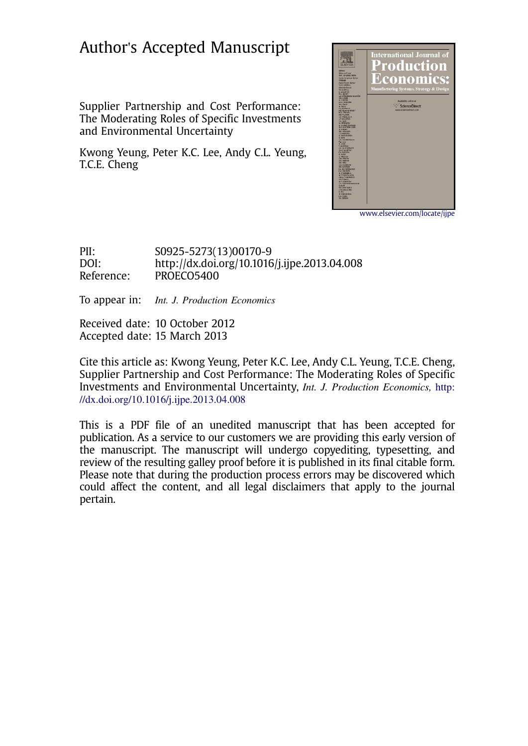## Author's Accepted Manuscript

Supplier Partnership and Cost Performance: The Moderating Roles of Specific Investments and Environmental Uncertainty

Kwong Yeung, Peter K.C. Lee, Andy C.L. Yeung, T.C.E. Cheng



www.elsevier.com/locate/ijpe

PII: S0925-5273(13)00170-9 DOI: http://dx.doi.org/10.1016/j.ijpe.2013.04.008 Reference: PROECO5400

To appear in: *Int. J. Production Economics* 

Received date: 10 October 2012 Accepted date: 15 March 2013

Cite this article as: Kwong Yeung, Peter K.C. Lee, Andy C.L. Yeung, T.C.E. Cheng, Supplier Partnership and Cost Performance: The Moderating Roles of Specific Investments and Environmental Uncertainty, Int. J. Production Economics, http: //dx.doi.org/10.1016/j.ijpe.2013.04.008

This is a PDF file of an unedited manuscript that has been accepted for publication. As a service to our customers we are providing this early version of the manuscript. The manuscript will undergo copyediting, typesetting, and review of the resulting galley proof before it is published in its final citable form. Please note that during the production process errors may be discovered which could affect the content, and all legal disclaimers that apply to the journal pertain.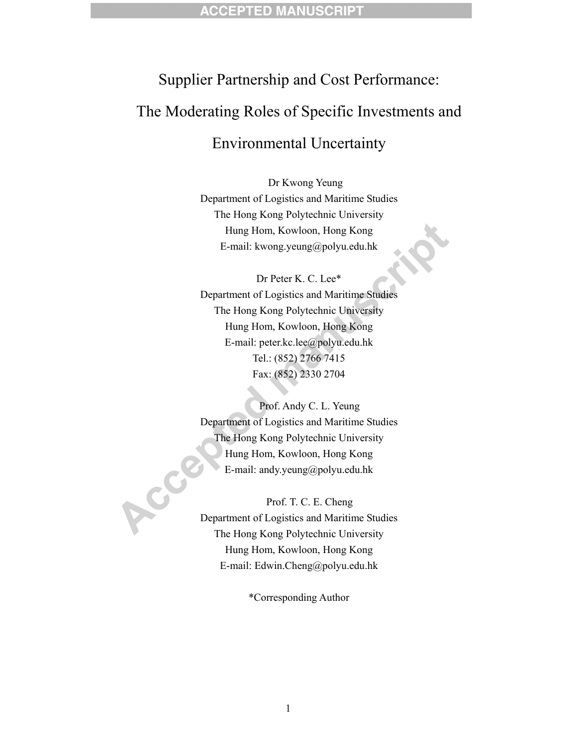## Supplier Partnership and Cost Performance: The Moderating Roles of Specific Investments and Environmental Uncertainty

Dr Kwong Yeung Department of Logistics and Maritime Studies The Hong Kong Polytechnic University Hung Hom, Kowloon, Hong Kong E-mail: kwong.yeung@polyu.edu.hk

Dr Peter K. C. Lee\* Department of Logistics and Maritime Studies The Hong Kong Polytechnic University Hung Hom, Kowloon, Hong Kong E-mail: peter.kc.lee@polyu.edu.hk Tel.: (852) 2766 7415 Fax: (852) 2330 2704

Prof. Andy C. L. Yeung Department of Logistics and Maritime Studies The Hong Kong Polytechnic University Hung Hom, Kowloon, Hong Kong E-mail: andy.yeung@polyu.edu.hk

Prof. T. C. E. Cheng Department of Logistics and Maritime Studies The Hong Kong Polytechnic University Hung Hom, Kowloon, Hong Kong E-mail: Edwin.Cheng@polyu.edu.hk

ACC

\*Corresponding Author